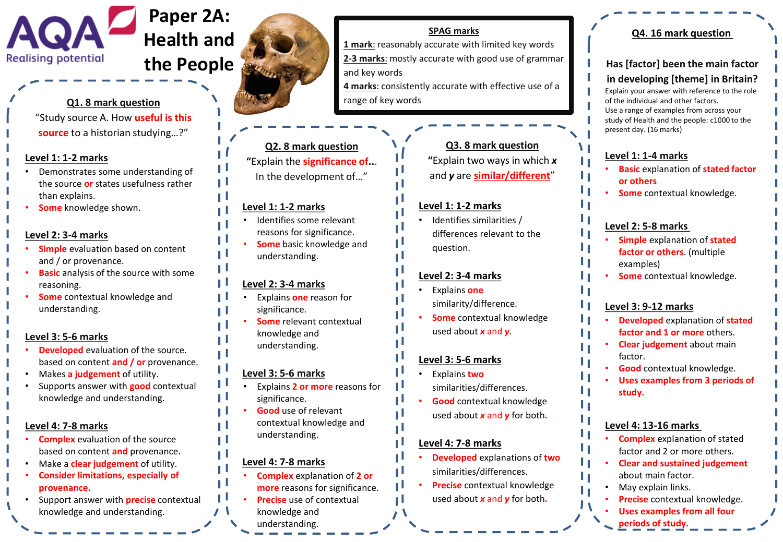

# **Q1. 8 mark question**

"Study source A. How **useful is this source** to a historian studying…?"

### **Level 1: 1-2 marks**

- Demonstrates some understanding of the source **or** states usefulness rather than explains.
- **Some** knowledge shown.

# **Level 2: 3-4 marks**

- **Simple** evaluation based on content and / or provenance.
- **Basic** analysis of the source with some reasoning.
- **Some** contextual knowledge and understanding.

#### **Level 3: 5-6 marks**

- **Developed** evaluation of the source. based on content **and / or** provenance.
- Makes **a judgement** of utility.
- Supports answer with **good** contextual knowledge and understanding.

#### **Level 4: 7-8 marks**

- **Complex** evaluation of the source based on content **and** provenance.
- Make a **clear judgement** of utility.
- **Consider limitations, especially of provenance.**
- Support answer with **precise** contextual knowledge and understanding.



# **SPAG marks**

**1 mark**: reasonably accurate with limited key words **2-3 marks**: mostly accurate with good use of grammar and key words **4 marks**: consistently accurate with effective use of a range of key words

**Q2. 8 mark question "**Explain the **significance of..**. In the development of…"

# **Level 1: 1-2 marks**

- Identifies some relevant reasons for significance.
- **Some** basic knowledge and understanding.

#### **Level 2: 3-4 marks**

- Explains **one** reason for significance.
- **Some** relevant contextual knowledge and understanding.

# **Level 3: 5-6 marks**

- Explains **2 or more** reasons for significance.
- **Good** use of relevant contextual knowledge and understanding.

# **Level 4: 7-8 marks**

- **Complex** explanation of **2 or more** reasons for significance.
- **Precise** use of contextual knowledge and
- understanding.

**Has [factor] been the main factor** 

**in developing [theme] in Britain?** Explain your answer with reference to the role of the individual and other factors. Use a range of examples from across your study of Health and the people: c1000 to the present day. (16 marks)

**Q4. 16 mark question**

# **Level 1: 1-4 marks**

- **Basic** explanation of **stated factor or others**
- **Some** contextual knowledge.

# **Level 2: 5-8 marks**

- **Simple** explanation of **stated factor or others**. (multiple examples)
- **Some** contextual knowledge.

# **Level 3: 9-12 marks**

- **Developed** explanation of **stated factor and 1 or more** others.
- **Clear judgement** about main factor.
- **Good** contextual knowledge.
- **Uses examples from 3 periods of study.**

# **Level 4: 13-16 marks**

LΙ

- **Complex** explanation of stated factor and 2 or more others.
- **Clear and sustained judgement**  about main factor.
- May explain links.
- **Precise** contextual knowledge.
- **Uses examples from all four periods of study.**

**Q3. 8 mark question "**Explain two ways in which *x* and *y* are **similar/different**"

## **Level 1: 1-2 marks**

• Identifies similarities / differences relevant to the question.

# **Level 2: 3-4 marks**

- Explains **one** similarity/difference.
- **Some** contextual knowledge used about *x* and *y.*

# **Level 3: 5-6 marks**

- Explains **two** similarities/differences.
- **Good** contextual knowledge used about *x* and *y* for both*.*

# **Level 4: 7-8 marks**

- **Developed** explanations of **two** similarities/differences.
- **Precise** contextual knowledge used about *x* and *y* for both*.*